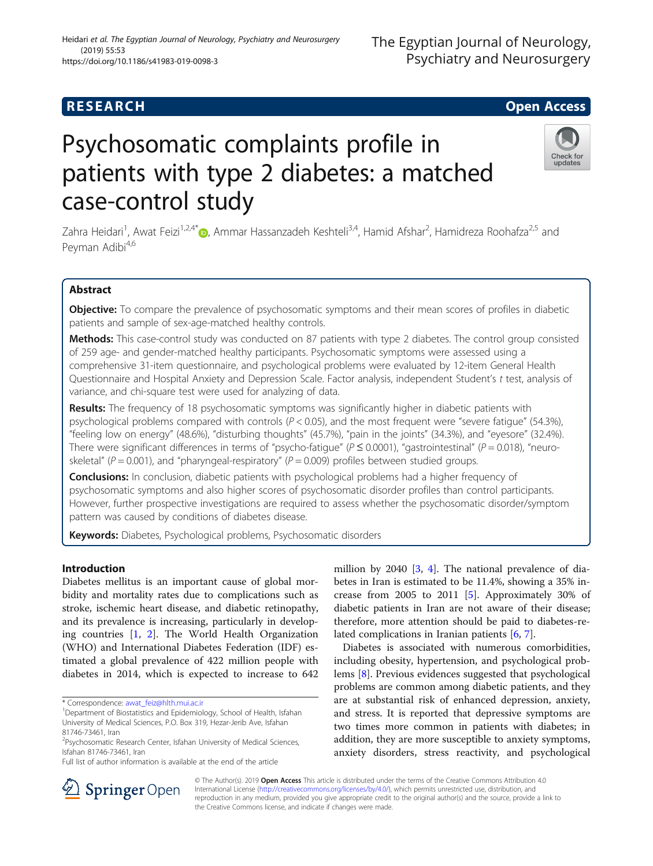# Heidari et al. The Egyptian Journal of Neurology, Psychiatry and Neurosurgery (2019) 55:53 https://doi.org/10.1186/s41983-019-0098-3

# Psychosomatic complaints profile in patients with type 2 diabetes: a matched case-control study

Zahra Heidari<sup>1</sup>[,](http://orcid.org/0000-0002-1930-0340) Awat Feizi<sup>1,2,4\*</sup>®, Ammar Hassanzadeh Keshteli<sup>3,4</sup>, Hamid Afshar<sup>2</sup>, Hamidreza Roohafza<sup>2,5</sup> and Peyman Adibi<sup>4,6</sup>

# Abstract

Objective: To compare the prevalence of psychosomatic symptoms and their mean scores of profiles in diabetic patients and sample of sex-age-matched healthy controls.

Methods: This case-control study was conducted on 87 patients with type 2 diabetes. The control group consisted of 259 age- and gender-matched healthy participants. Psychosomatic symptoms were assessed using a comprehensive 31-item questionnaire, and psychological problems were evaluated by 12-item General Health Questionnaire and Hospital Anxiety and Depression Scale. Factor analysis, independent Student's t test, analysis of variance, and chi-square test were used for analyzing of data.

Results: The frequency of 18 psychosomatic symptoms was significantly higher in diabetic patients with psychological problems compared with controls  $(P < 0.05)$ , and the most frequent were "severe fatigue" (54.3%), "feeling low on energy" (48.6%), "disturbing thoughts" (45.7%), "pain in the joints" (34.3%), and "eyesore" (32.4%). There were significant differences in terms of "psycho-fatigue" ( $P \le 0.0001$ ), "gastrointestinal" ( $P = 0.018$ ), "neuroskeletal" ( $P = 0.001$ ), and "pharyngeal-respiratory" ( $P = 0.009$ ) profiles between studied groups.

**Conclusions:** In conclusion, diabetic patients with psychological problems had a higher frequency of psychosomatic symptoms and also higher scores of psychosomatic disorder profiles than control participants. However, further prospective investigations are required to assess whether the psychosomatic disorder/symptom pattern was caused by conditions of diabetes disease.

Keywords: Diabetes, Psychological problems, Psychosomatic disorders

# Introduction

Diabetes mellitus is an important cause of global morbidity and mortality rates due to complications such as stroke, ischemic heart disease, and diabetic retinopathy, and its prevalence is increasing, particularly in developing countries [[1,](#page-7-0) [2](#page-7-0)]. The World Health Organization (WHO) and International Diabetes Federation (IDF) estimated a global prevalence of 422 million people with diabetes in 2014, which is expected to increase to 642

\* Correspondence: [awat\\_feiz@hlth.mui.ac.ir](mailto:awat_feiz@hlth.mui.ac.ir) <sup>1</sup>

Full list of author information is available at the end of the article

million by 2040 [[3,](#page-7-0) [4](#page-7-0)]. The national prevalence of diabetes in Iran is estimated to be 11.4%, showing a 35% increase from 2005 to 2011 [\[5\]](#page-7-0). Approximately 30% of diabetic patients in Iran are not aware of their disease; therefore, more attention should be paid to diabetes-related complications in Iranian patients [[6](#page-7-0), [7](#page-7-0)].

Diabetes is associated with numerous comorbidities, including obesity, hypertension, and psychological problems [[8\]](#page-7-0). Previous evidences suggested that psychological problems are common among diabetic patients, and they are at substantial risk of enhanced depression, anxiety, and stress. It is reported that depressive symptoms are two times more common in patients with diabetes; in addition, they are more susceptible to anxiety symptoms, anxiety disorders, stress reactivity, and psychological



© The Author(s). 2019 **Open Access** This article is distributed under the terms of the Creative Commons Attribution 4.0 International License ([http://creativecommons.org/licenses/by/4.0/\)](http://creativecommons.org/licenses/by/4.0/), which permits unrestricted use, distribution, and reproduction in any medium, provided you give appropriate credit to the original author(s) and the source, provide a link to the Creative Commons license, and indicate if changes were made.



<sup>&</sup>lt;sup>1</sup> Department of Biostatistics and Epidemiology, School of Health, Isfahan University of Medical Sciences, P.O. Box 319, Hezar-Jerib Ave, Isfahan 81746-73461, Iran

<sup>&</sup>lt;sup>2</sup>Psychosomatic Research Center, Isfahan University of Medical Sciences, Isfahan 81746-73461, Iran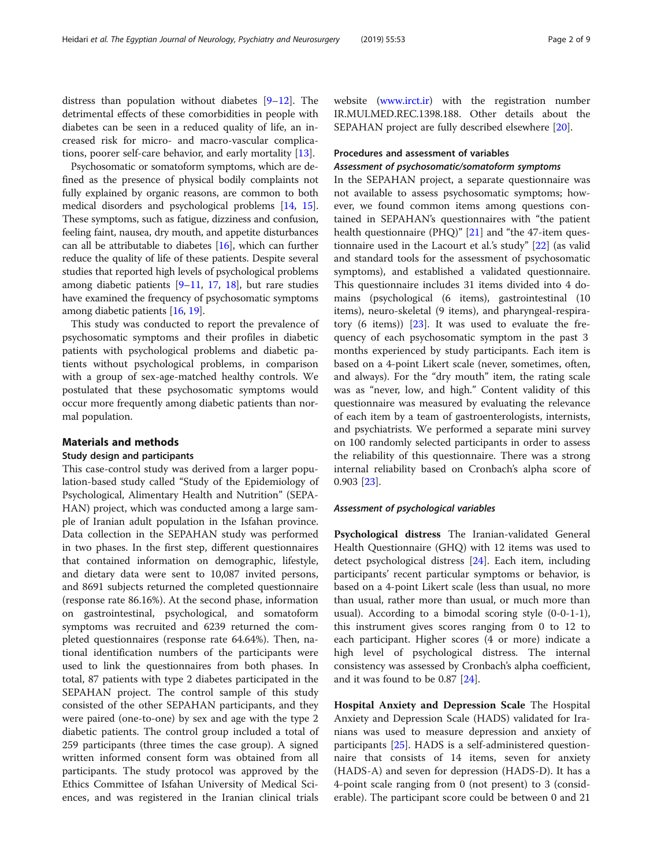distress than population without diabetes [\[9](#page-7-0)–[12\]](#page-8-0). The detrimental effects of these comorbidities in people with diabetes can be seen in a reduced quality of life, an increased risk for micro- and macro-vascular complications, poorer self-care behavior, and early mortality [\[13\]](#page-8-0).

Psychosomatic or somatoform symptoms, which are defined as the presence of physical bodily complaints not fully explained by organic reasons, are common to both medical disorders and psychological problems [[14](#page-8-0), [15](#page-8-0)]. These symptoms, such as fatigue, dizziness and confusion, feeling faint, nausea, dry mouth, and appetite disturbances can all be attributable to diabetes [[16](#page-8-0)], which can further reduce the quality of life of these patients. Despite several studies that reported high levels of psychological problems among diabetic patients  $[9-11, 17, 18]$  $[9-11, 17, 18]$  $[9-11, 17, 18]$  $[9-11, 17, 18]$  $[9-11, 17, 18]$  $[9-11, 17, 18]$  $[9-11, 17, 18]$  $[9-11, 17, 18]$  $[9-11, 17, 18]$ , but rare studies have examined the frequency of psychosomatic symptoms among diabetic patients [[16](#page-8-0), [19\]](#page-8-0).

This study was conducted to report the prevalence of psychosomatic symptoms and their profiles in diabetic patients with psychological problems and diabetic patients without psychological problems, in comparison with a group of sex-age-matched healthy controls. We postulated that these psychosomatic symptoms would occur more frequently among diabetic patients than normal population.

### Materials and methods

#### Study design and participants

This case-control study was derived from a larger population-based study called "Study of the Epidemiology of Psychological, Alimentary Health and Nutrition" (SEPA-HAN) project, which was conducted among a large sample of Iranian adult population in the Isfahan province. Data collection in the SEPAHAN study was performed in two phases. In the first step, different questionnaires that contained information on demographic, lifestyle, and dietary data were sent to 10,087 invited persons, and 8691 subjects returned the completed questionnaire (response rate 86.16%). At the second phase, information on gastrointestinal, psychological, and somatoform symptoms was recruited and 6239 returned the completed questionnaires (response rate 64.64%). Then, national identification numbers of the participants were used to link the questionnaires from both phases. In total, 87 patients with type 2 diabetes participated in the SEPAHAN project. The control sample of this study consisted of the other SEPAHAN participants, and they were paired (one-to-one) by sex and age with the type 2 diabetic patients. The control group included a total of 259 participants (three times the case group). A signed written informed consent form was obtained from all participants. The study protocol was approved by the Ethics Committee of Isfahan University of Medical Sciences, and was registered in the Iranian clinical trials

website ([www.irct.ir\)](https://www.irct.ir) with the registration number IR.MUI.MED.REC.1398.188. Other details about the SEPAHAN project are fully described elsewhere [\[20](#page-8-0)].

# Procedures and assessment of variables

In the SEPAHAN project, a separate questionnaire was not available to assess psychosomatic symptoms; however, we found common items among questions contained in SEPAHAN's questionnaires with "the patient health questionnaire (PHQ)" [\[21\]](#page-8-0) and "the 47-item questionnaire used in the Lacourt et al.'s study" [[22](#page-8-0)] (as valid and standard tools for the assessment of psychosomatic symptoms), and established a validated questionnaire. This questionnaire includes 31 items divided into 4 domains (psychological (6 items), gastrointestinal (10 items), neuro-skeletal (9 items), and pharyngeal-respiratory  $(6 \text{ items})$   $[23]$  $[23]$ . It was used to evaluate the frequency of each psychosomatic symptom in the past 3 months experienced by study participants. Each item is based on a 4-point Likert scale (never, sometimes, often, and always). For the "dry mouth" item, the rating scale was as "never, low, and high." Content validity of this questionnaire was measured by evaluating the relevance of each item by a team of gastroenterologists, internists, and psychiatrists. We performed a separate mini survey on 100 randomly selected participants in order to assess the reliability of this questionnaire. There was a strong internal reliability based on Cronbach's alpha score of 0.903 [[23](#page-8-0)].

#### Assessment of psychological variables

Psychological distress The Iranian-validated General Health Questionnaire (GHQ) with 12 items was used to detect psychological distress [\[24](#page-8-0)]. Each item, including participants' recent particular symptoms or behavior, is based on a 4-point Likert scale (less than usual, no more than usual, rather more than usual, or much more than usual). According to a bimodal scoring style (0-0-1-1), this instrument gives scores ranging from 0 to 12 to each participant. Higher scores (4 or more) indicate a high level of psychological distress. The internal consistency was assessed by Cronbach's alpha coefficient, and it was found to be 0.87 [[24\]](#page-8-0).

Hospital Anxiety and Depression Scale The Hospital Anxiety and Depression Scale (HADS) validated for Iranians was used to measure depression and anxiety of participants [\[25](#page-8-0)]. HADS is a self-administered questionnaire that consists of 14 items, seven for anxiety (HADS-A) and seven for depression (HADS-D). It has a 4-point scale ranging from 0 (not present) to 3 (considerable). The participant score could be between 0 and 21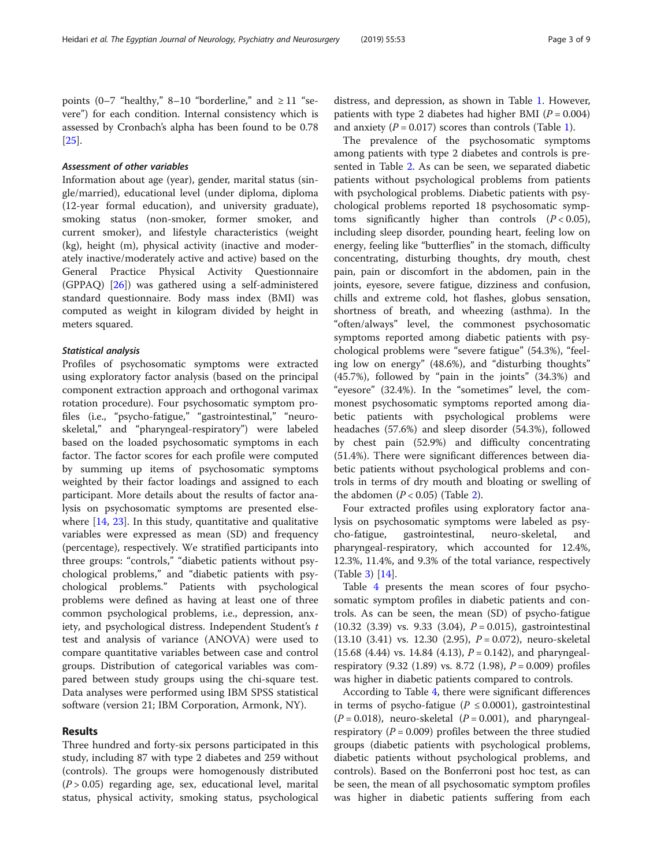points (0–7 "healthy," 8–10 "borderline," and  $\geq 11$  "severe") for each condition. Internal consistency which is assessed by Cronbach's alpha has been found to be 0.78 [[25\]](#page-8-0).

Information about age (year), gender, marital status (single/married), educational level (under diploma, diploma (12-year formal education), and university graduate), smoking status (non-smoker, former smoker, and current smoker), and lifestyle characteristics (weight (kg), height (m), physical activity (inactive and moderately inactive/moderately active and active) based on the General Practice Physical Activity Questionnaire (GPPAQ) [\[26](#page-8-0)]) was gathered using a self-administered standard questionnaire. Body mass index (BMI) was computed as weight in kilogram divided by height in meters squared.

Profiles of psychosomatic symptoms were extracted using exploratory factor analysis (based on the principal component extraction approach and orthogonal varimax rotation procedure). Four psychosomatic symptom profiles (i.e., "psycho-fatigue," "gastrointestinal," "neuroskeletal," and "pharyngeal-respiratory") were labeled based on the loaded psychosomatic symptoms in each factor. The factor scores for each profile were computed by summing up items of psychosomatic symptoms weighted by their factor loadings and assigned to each participant. More details about the results of factor analysis on psychosomatic symptoms are presented elsewhere [[14,](#page-8-0) [23\]](#page-8-0). In this study, quantitative and qualitative variables were expressed as mean (SD) and frequency (percentage), respectively. We stratified participants into three groups: "controls," "diabetic patients without psychological problems," and "diabetic patients with psychological problems." Patients with psychological problems were defined as having at least one of three common psychological problems, i.e., depression, anxiety, and psychological distress. Independent Student's t test and analysis of variance (ANOVA) were used to compare quantitative variables between case and control groups. Distribution of categorical variables was compared between study groups using the chi-square test. Data analyses were performed using IBM SPSS statistical software (version 21; IBM Corporation, Armonk, NY).

#### Results

Three hundred and forty-six persons participated in this study, including 87 with type 2 diabetes and 259 without (controls). The groups were homogenously distributed  $(P > 0.05)$  regarding age, sex, educational level, marital status, physical activity, smoking status, psychological

distress, and depression, as shown in Table [1.](#page-3-0) However, patients with type 2 diabetes had higher BMI ( $P = 0.004$ ) and anxiety ( $P = 0.017$ ) scores than controls (Table [1\)](#page-3-0).

The prevalence of the psychosomatic symptoms among patients with type 2 diabetes and controls is presented in Table [2](#page-4-0). As can be seen, we separated diabetic patients without psychological problems from patients with psychological problems. Diabetic patients with psychological problems reported 18 psychosomatic symptoms significantly higher than controls  $(P < 0.05)$ , including sleep disorder, pounding heart, feeling low on energy, feeling like "butterflies" in the stomach, difficulty concentrating, disturbing thoughts, dry mouth, chest pain, pain or discomfort in the abdomen, pain in the joints, eyesore, severe fatigue, dizziness and confusion, chills and extreme cold, hot flashes, globus sensation, shortness of breath, and wheezing (asthma). In the "often/always" level, the commonest psychosomatic symptoms reported among diabetic patients with psychological problems were "severe fatigue" (54.3%), "feeling low on energy" (48.6%), and "disturbing thoughts" (45.7%), followed by "pain in the joints" (34.3%) and "eyesore" (32.4%). In the "sometimes" level, the commonest psychosomatic symptoms reported among diabetic patients with psychological problems were headaches (57.6%) and sleep disorder (54.3%), followed by chest pain (52.9%) and difficulty concentrating (51.4%). There were significant differences between diabetic patients without psychological problems and controls in terms of dry mouth and bloating or swelling of the abdomen  $(P < 0.05)$  (Table [2](#page-4-0)).

Four extracted profiles using exploratory factor analysis on psychosomatic symptoms were labeled as psycho-fatigue, gastrointestinal, neuro-skeletal, and pharyngeal-respiratory, which accounted for 12.4%, 12.3%, 11.4%, and 9.3% of the total variance, respectively (Table [3\)](#page-5-0) [\[14](#page-8-0)].

Table [4](#page-6-0) presents the mean scores of four psychosomatic symptom profiles in diabetic patients and controls. As can be seen, the mean (SD) of psycho-fatigue  $(10.32 \ (3.39) \ vs. \ 9.33 \ (3.04), P = 0.015)$ , gastrointestinal  $(13.10 \ (3.41) \ vs. \ 12.30 \ (2.95), P = 0.072)$ , neuro-skeletal  $(15.68 \ (4.44) \ vs. 14.84 \ (4.13), P = 0.142)$ , and pharyngealrespiratory (9.32 (1.89) vs. 8.72 (1.98),  $P = 0.009$ ) profiles was higher in diabetic patients compared to controls.

According to Table [4,](#page-6-0) there were significant differences in terms of psycho-fatigue ( $P \le 0.0001$ ), gastrointestinal  $(P = 0.018)$ , neuro-skeletal  $(P = 0.001)$ , and pharyngealrespiratory ( $P = 0.009$ ) profiles between the three studied groups (diabetic patients with psychological problems, diabetic patients without psychological problems, and controls). Based on the Bonferroni post hoc test, as can be seen, the mean of all psychosomatic symptom profiles was higher in diabetic patients suffering from each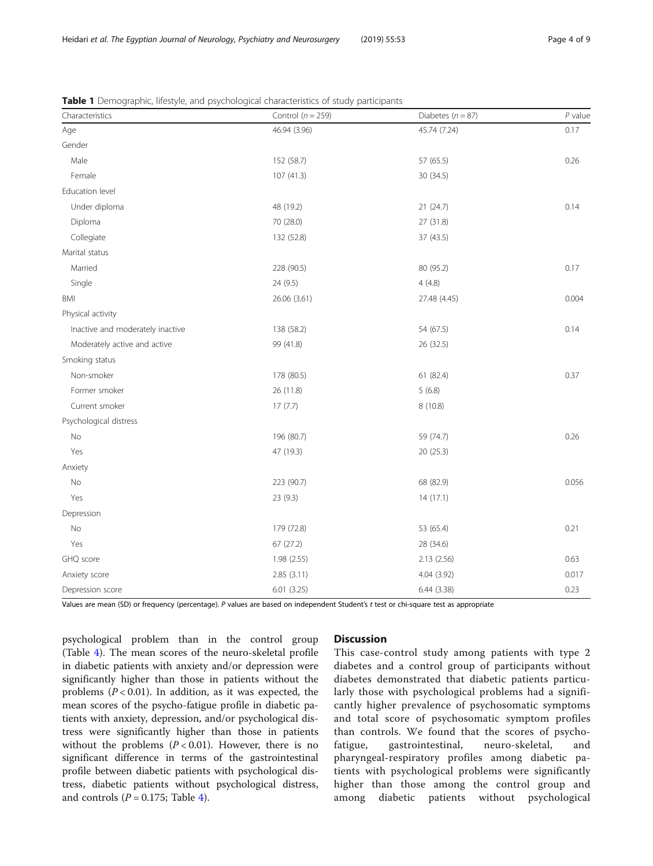| Characteristics                  | Control ( $n = 259$ ) | Diabetes ( $n = 87$ ) | $P$ value |
|----------------------------------|-----------------------|-----------------------|-----------|
| Age                              | 46.94 (3.96)          | 45.74 (7.24)          | 0.17      |
| Gender                           |                       |                       |           |
| Male                             | 152 (58.7)            | 57 (65.5)             | 0.26      |
| Female                           | 107(41.3)             | 30 (34.5)             |           |
| Education level                  |                       |                       |           |
| Under diploma                    | 48 (19.2)             | 21 (24.7)             | 0.14      |
| Diploma                          | 70 (28.0)             | 27 (31.8)             |           |
| Collegiate                       | 132 (52.8)            | 37 (43.5)             |           |
| Marital status                   |                       |                       |           |
| Married                          | 228 (90.5)            | 80 (95.2)             | 0.17      |
| Single                           | 24 (9.5)              | 4(4.8)                |           |
| BMI                              | 26.06 (3.61)          | 27.48 (4.45)          | 0.004     |
| Physical activity                |                       |                       |           |
| Inactive and moderately inactive | 138 (58.2)            | 54 (67.5)             | 0.14      |
| Moderately active and active     | 99 (41.8)             | 26 (32.5)             |           |
| Smoking status                   |                       |                       |           |
| Non-smoker                       | 178 (80.5)            | 61 (82.4)             | 0.37      |
| Former smoker                    | 26 (11.8)             | 5(6.8)                |           |
| Current smoker                   | 17(7.7)               | 8(10.8)               |           |
| Psychological distress           |                       |                       |           |
| No                               | 196 (80.7)            | 59 (74.7)             | 0.26      |
| Yes                              | 47 (19.3)             | 20 (25.3)             |           |
| Anxiety                          |                       |                       |           |
| No                               | 223 (90.7)            | 68 (82.9)             | 0.056     |
| Yes                              | 23 (9.3)              | 14(17.1)              |           |
| Depression                       |                       |                       |           |
| No                               | 179 (72.8)            | 53 (65.4)             | 0.21      |
| Yes                              | 67 (27.2)             | 28 (34.6)             |           |
| GHQ score                        | 1.98 (2.55)           | 2.13(2.56)            | 0.63      |
| Anxiety score                    | 2.85 (3.11)           | 4.04 (3.92)           | 0.017     |
| Depression score                 | 6.01(3.25)            | 6.44(3.38)            | 0.23      |

<span id="page-3-0"></span>Table 1 Demographic, lifestyle, and psychological characteristics of study participants

Values are mean (SD) or frequency (percentage). P values are based on independent Student's t test or chi-square test as appropriate

psychological problem than in the control group (Table [4\)](#page-6-0). The mean scores of the neuro-skeletal profile in diabetic patients with anxiety and/or depression were significantly higher than those in patients without the problems  $(P < 0.01)$ . In addition, as it was expected, the mean scores of the psycho-fatigue profile in diabetic patients with anxiety, depression, and/or psychological distress were significantly higher than those in patients without the problems  $(P < 0.01)$ . However, there is no significant difference in terms of the gastrointestinal profile between diabetic patients with psychological distress, diabetic patients without psychological distress, and controls ( $P = 0.175$ ; Table [4\)](#page-6-0).

## **Discussion**

This case-control study among patients with type 2 diabetes and a control group of participants without diabetes demonstrated that diabetic patients particularly those with psychological problems had a significantly higher prevalence of psychosomatic symptoms and total score of psychosomatic symptom profiles than controls. We found that the scores of psychofatigue, gastrointestinal, neuro-skeletal, and pharyngeal-respiratory profiles among diabetic patients with psychological problems were significantly higher than those among the control group and among diabetic patients without psychological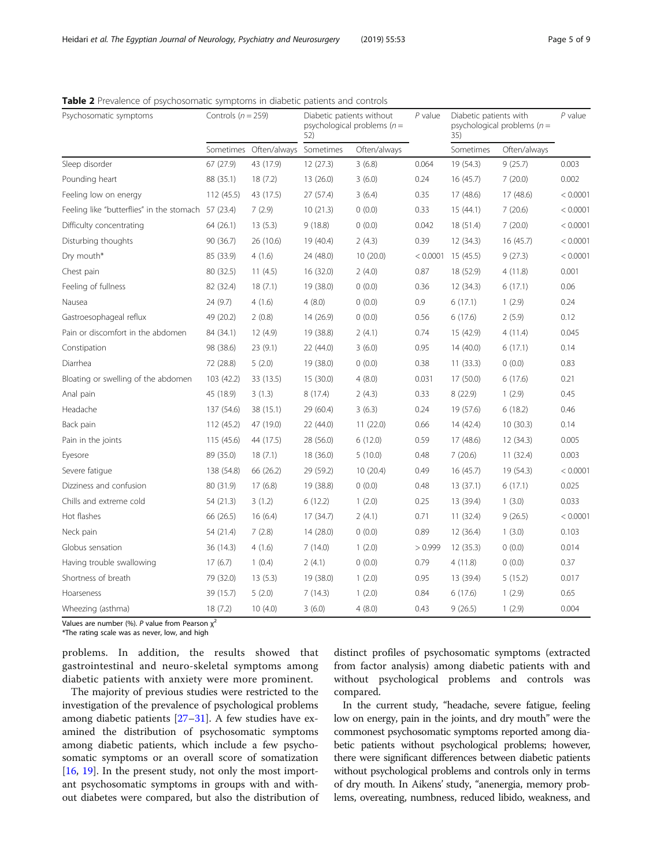| Psychosomatic symptoms                              | Controls ( $n = 259$ ) |                        | Diabetic patients without<br>psychological problems ( $n =$<br>52) |              | $P$ value | Diabetic patients with<br>psychological problems ( $n =$<br>35) |              | $P$ value |
|-----------------------------------------------------|------------------------|------------------------|--------------------------------------------------------------------|--------------|-----------|-----------------------------------------------------------------|--------------|-----------|
|                                                     |                        | Sometimes Often/always | Sometimes                                                          | Often/always |           | Sometimes                                                       | Often/always |           |
| Sleep disorder                                      | 67 (27.9)              | 43 (17.9)              | 12(27.3)                                                           | 3(6.8)       | 0.064     | 19 (54.3)                                                       | 9(25.7)      | 0.003     |
| Pounding heart                                      | 88 (35.1)              | 18(7.2)                | 13(26.0)                                                           | 3(6.0)       | 0.24      | 16(45.7)                                                        | 7(20.0)      | 0.002     |
| Feeling low on energy                               | 112 (45.5)             | 43 (17.5)              | 27(57.4)                                                           | 3(6.4)       | 0.35      | 17(48.6)                                                        | 17 (48.6)    | < 0.0001  |
| Feeling like "butterflies" in the stomach 57 (23.4) |                        | 7(2.9)                 | 10(21.3)                                                           | 0(0.0)       | 0.33      | 15(44.1)                                                        | 7(20.6)      | < 0.0001  |
| Difficulty concentrating                            | 64 (26.1)              | 13(5.3)                | 9(18.8)                                                            | 0(0.0)       | 0.042     | 18 (51.4)                                                       | 7(20.0)      | < 0.0001  |
| Disturbing thoughts                                 | 90 (36.7)              | 26 (10.6)              | 19 (40.4)                                                          | 2(4.3)       | 0.39      | 12(34.3)                                                        | 16 (45.7)    | < 0.0001  |
| Dry mouth*                                          | 85 (33.9)              | 4(1.6)                 | 24 (48.0)                                                          | 10(20.0)     | < 0.0001  | 15 (45.5)                                                       | 9(27.3)      | < 0.0001  |
| Chest pain                                          | 80 (32.5)              | 11(4.5)                | 16 (32.0)                                                          | 2(4.0)       | 0.87      | 18 (52.9)                                                       | 4(11.8)      | 0.001     |
| Feeling of fullness                                 | 82 (32.4)              | 18(7.1)                | 19 (38.0)                                                          | 0(0.0)       | 0.36      | 12(34.3)                                                        | 6(17.1)      | 0.06      |
| Nausea                                              | 24 (9.7)               | 4(1.6)                 | 4(8.0)                                                             | 0(0.0)       | 0.9       | 6(17.1)                                                         | 1(2.9)       | 0.24      |
| Gastroesophageal reflux                             | 49 (20.2)              | 2(0.8)                 | 14 (26.9)                                                          | 0(0.0)       | 0.56      | 6(17.6)                                                         | 2(5.9)       | 0.12      |
| Pain or discomfort in the abdomen                   | 84 (34.1)              | 12 (4.9)               | 19 (38.8)                                                          | 2(4.1)       | 0.74      | 15 (42.9)                                                       | 4(11.4)      | 0.045     |
| Constipation                                        | 98 (38.6)              | 23(9.1)                | 22 (44.0)                                                          | 3(6.0)       | 0.95      | 14(40.0)                                                        | 6(17.1)      | 0.14      |
| Diarrhea                                            | 72 (28.8)              | 5(2.0)                 | 19 (38.0)                                                          | 0(0.0)       | 0.38      | 11(33.3)                                                        | 0(0.0)       | 0.83      |
| Bloating or swelling of the abdomen                 | 103 (42.2)             | 33 (13.5)              | 15(30.0)                                                           | 4(8.0)       | 0.031     | 17 (50.0)                                                       | 6(17.6)      | 0.21      |
| Anal pain                                           | 45 (18.9)              | 3(1.3)                 | 8(17.4)                                                            | 2(4.3)       | 0.33      | 8(22.9)                                                         | 1(2.9)       | 0.45      |
| Headache                                            | 137 (54.6)             | 38 (15.1)              | 29 (60.4)                                                          | 3(6.3)       | 0.24      | 19 (57.6)                                                       | 6(18.2)      | 0.46      |
| Back pain                                           | 112 (45.2)             | 47 (19.0)              | 22 (44.0)                                                          | 11(22.0)     | 0.66      | 14 (42.4)                                                       | 10(30.3)     | 0.14      |
| Pain in the joints                                  | 115 (45.6)             | 44 (17.5)              | 28 (56.0)                                                          | 6(12.0)      | 0.59      | 17 (48.6)                                                       | 12 (34.3)    | 0.005     |
| Eyesore                                             | 89 (35.0)              | 18(7.1)                | 18 (36.0)                                                          | 5(10.0)      | 0.48      | 7(20.6)                                                         | 11(32.4)     | 0.003     |
| Severe fatique                                      | 138 (54.8)             | 66 (26.2)              | 29 (59.2)                                                          | 10(20.4)     | 0.49      | 16(45.7)                                                        | 19 (54.3)    | < 0.0001  |
| Dizziness and confusion                             | 80 (31.9)              | 17(6.8)                | 19 (38.8)                                                          | 0(0.0)       | 0.48      | 13(37.1)                                                        | 6(17.1)      | 0.025     |
| Chills and extreme cold                             | 54 (21.3)              | 3(1.2)                 | 6(12.2)                                                            | 1(2.0)       | 0.25      | 13 (39.4)                                                       | 1(3.0)       | 0.033     |
| Hot flashes                                         | 66 (26.5)              | 16(6.4)                | 17 (34.7)                                                          | 2(4.1)       | 0.71      | 11 (32.4)                                                       | 9(26.5)      | < 0.0001  |
| Neck pain                                           | 54 (21.4)              | 7(2.8)                 | 14(28.0)                                                           | 0(0.0)       | 0.89      | 12(36.4)                                                        | 1(3.0)       | 0.103     |
| Globus sensation                                    | 36 (14.3)              | 4(1.6)                 | 7(14.0)                                                            | 1(2.0)       | >0.999    | 12(35.3)                                                        | 0(0.0)       | 0.014     |
| Having trouble swallowing                           | 17(6.7)                | 1(0.4)                 | 2(4.1)                                                             | 0(0.0)       | 0.79      | 4(11.8)                                                         | 0(0.0)       | 0.37      |
| Shortness of breath                                 | 79 (32.0)              | 13(5.3)                | 19 (38.0)                                                          | 1(2.0)       | 0.95      | 13 (39.4)                                                       | 5(15.2)      | 0.017     |
| Hoarseness                                          | 39 (15.7)              | 5(2.0)                 | 7(14.3)                                                            | 1(2.0)       | 0.84      | 6(17.6)                                                         | 1(2.9)       | 0.65      |
| Wheezing (asthma)                                   | 18(7.2)                | 10(4.0)                | 3(6.0)                                                             | 4(8.0)       | 0.43      | 9(26.5)                                                         | 1(2.9)       | 0.004     |

<span id="page-4-0"></span>Table 2 Prevalence of psychosomatic symptoms in diabetic patients and controls

Values are number (%). P value from Pearson  $x^2$ 

\*The rating scale was as never, low, and high

problems. In addition, the results showed that gastrointestinal and neuro-skeletal symptoms among diabetic patients with anxiety were more prominent.

The majority of previous studies were restricted to the investigation of the prevalence of psychological problems among diabetic patients [[27](#page-8-0)–[31\]](#page-8-0). A few studies have examined the distribution of psychosomatic symptoms among diabetic patients, which include a few psychosomatic symptoms or an overall score of somatization [[16,](#page-8-0) [19\]](#page-8-0). In the present study, not only the most important psychosomatic symptoms in groups with and without diabetes were compared, but also the distribution of distinct profiles of psychosomatic symptoms (extracted from factor analysis) among diabetic patients with and without psychological problems and controls was compared.

In the current study, "headache, severe fatigue, feeling low on energy, pain in the joints, and dry mouth" were the commonest psychosomatic symptoms reported among diabetic patients without psychological problems; however, there were significant differences between diabetic patients without psychological problems and controls only in terms of dry mouth. In Aikens' study, "anenergia, memory problems, overeating, numbness, reduced libido, weakness, and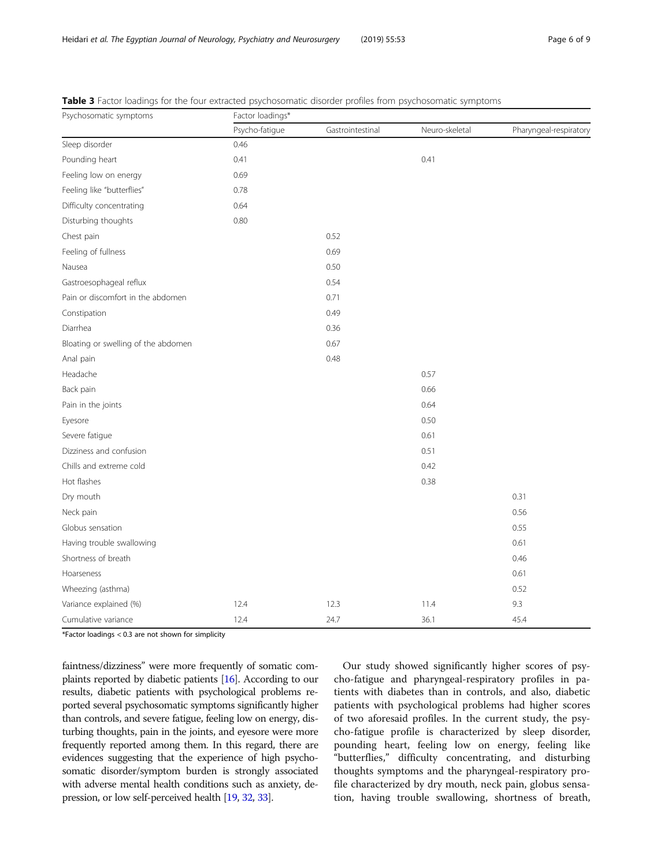| Psychosomatic symptoms              | Factor loadings* |                  |                |                        |  |  |
|-------------------------------------|------------------|------------------|----------------|------------------------|--|--|
|                                     | Psycho-fatigue   | Gastrointestinal | Neuro-skeletal | Pharyngeal-respiratory |  |  |
| Sleep disorder                      | 0.46             |                  |                |                        |  |  |
| Pounding heart                      | 0.41             |                  | 0.41           |                        |  |  |
| Feeling low on energy               | 0.69             |                  |                |                        |  |  |
| Feeling like "butterflies"          | 0.78             |                  |                |                        |  |  |
| Difficulty concentrating            | 0.64             |                  |                |                        |  |  |
| Disturbing thoughts                 | 0.80             |                  |                |                        |  |  |
| Chest pain                          |                  | 0.52             |                |                        |  |  |
| Feeling of fullness                 |                  | 0.69             |                |                        |  |  |
| Nausea                              |                  | 0.50             |                |                        |  |  |
| Gastroesophageal reflux             |                  | 0.54             |                |                        |  |  |
| Pain or discomfort in the abdomen   |                  | 0.71             |                |                        |  |  |
| Constipation                        |                  | 0.49             |                |                        |  |  |
| Diarrhea                            |                  | 0.36             |                |                        |  |  |
| Bloating or swelling of the abdomen |                  | 0.67             |                |                        |  |  |
| Anal pain                           |                  | 0.48             |                |                        |  |  |
| Headache                            |                  |                  | 0.57           |                        |  |  |
| Back pain                           |                  |                  | 0.66           |                        |  |  |
| Pain in the joints                  |                  |                  | 0.64           |                        |  |  |
| Eyesore                             |                  |                  | 0.50           |                        |  |  |
| Severe fatigue                      |                  |                  | 0.61           |                        |  |  |
| Dizziness and confusion             |                  |                  | 0.51           |                        |  |  |
| Chills and extreme cold             |                  |                  | 0.42           |                        |  |  |
| Hot flashes                         |                  |                  | 0.38           |                        |  |  |
| Dry mouth                           |                  |                  |                | 0.31                   |  |  |
| Neck pain                           |                  |                  |                | 0.56                   |  |  |
| Globus sensation                    |                  |                  |                | 0.55                   |  |  |
| Having trouble swallowing           |                  |                  |                | 0.61                   |  |  |
| Shortness of breath                 |                  |                  |                | 0.46                   |  |  |
| Hoarseness                          |                  |                  |                | 0.61                   |  |  |
| Wheezing (asthma)                   |                  |                  |                | 0.52                   |  |  |
| Variance explained (%)              | 12.4             | 12.3             | 11.4           | 9.3                    |  |  |
| Cumulative variance                 | 12.4             | 24.7             | 36.1           | 45.4                   |  |  |

<span id="page-5-0"></span>Table 3 Factor loadings for the four extracted psychosomatic disorder profiles from psychosomatic symptoms

\*Factor loadings < 0.3 are not shown for simplicity

faintness/dizziness" were more frequently of somatic complaints reported by diabetic patients [[16](#page-8-0)]. According to our results, diabetic patients with psychological problems reported several psychosomatic symptoms significantly higher than controls, and severe fatigue, feeling low on energy, disturbing thoughts, pain in the joints, and eyesore were more frequently reported among them. In this regard, there are evidences suggesting that the experience of high psychosomatic disorder/symptom burden is strongly associated with adverse mental health conditions such as anxiety, depression, or low self-perceived health [\[19](#page-8-0), [32](#page-8-0), [33](#page-8-0)].

Our study showed significantly higher scores of psycho-fatigue and pharyngeal-respiratory profiles in patients with diabetes than in controls, and also, diabetic patients with psychological problems had higher scores of two aforesaid profiles. In the current study, the psycho-fatigue profile is characterized by sleep disorder, pounding heart, feeling low on energy, feeling like "butterflies," difficulty concentrating, and disturbing thoughts symptoms and the pharyngeal-respiratory profile characterized by dry mouth, neck pain, globus sensation, having trouble swallowing, shortness of breath,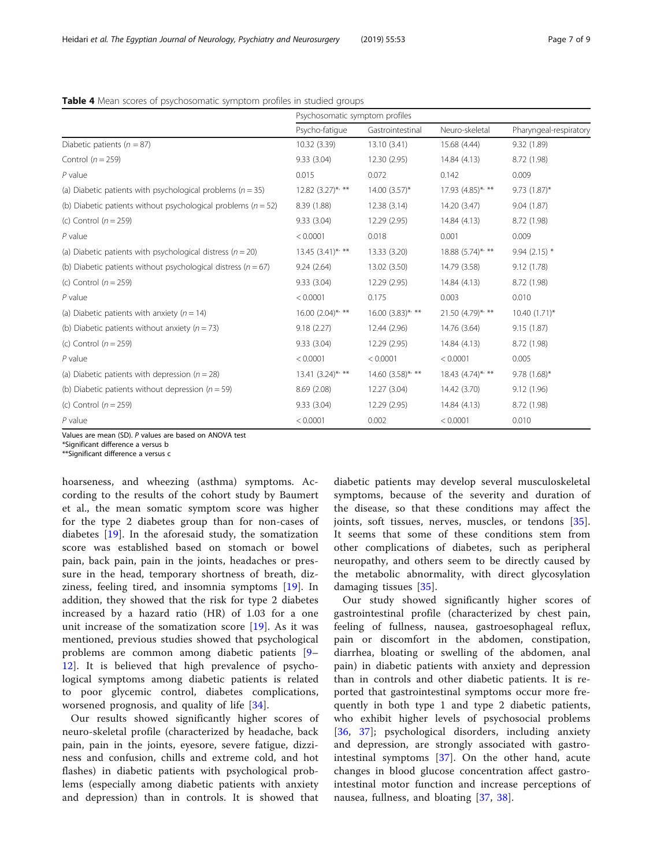<span id="page-6-0"></span>Table 4 Mean scores of psychosomatic symptom profiles in studied groups

|                                                                   | Psychosomatic symptom profiles |                     |                     |                        |  |
|-------------------------------------------------------------------|--------------------------------|---------------------|---------------------|------------------------|--|
|                                                                   | Psycho-fatique                 | Gastrointestinal    | Neuro-skeletal      | Pharyngeal-respiratory |  |
| Diabetic patients ( $n = 87$ )                                    | 10.32 (3.39)                   | 13.10 (3.41)        | 15.68 (4.44)        | 9.32(1.89)             |  |
| Control $(n = 259)$                                               | 9.33(3.04)                     | 12.30 (2.95)        | 14.84 (4.13)        | 8.72 (1.98)            |  |
| $P$ value                                                         | 0.015                          | 0.072               | 0.142               | 0.009                  |  |
| (a) Diabetic patients with psychological problems ( $n = 35$ )    | $12.82$ $(3.27)$ */**          | $14.00(3.57)$ *     | 17.93 (4.85)*/**    | $9.73(1.87)^{*}$       |  |
| (b) Diabetic patients without psychological problems ( $n = 52$ ) | 8.39 (1.88)                    | 12.38(3.14)         | 14.20 (3.47)        | 9.04(1.87)             |  |
| (c) Control $(n = 259)$                                           | 9.33(3.04)                     | 12.29 (2.95)        | 14.84 (4.13)        | 8.72 (1.98)            |  |
| $P$ value                                                         | < 0.0001                       | 0.018               | 0.001               | 0.009                  |  |
| (a) Diabetic patients with psychological distress ( $n = 20$ )    | $13.45$ $(3.41)^{*}$ , **      | 13.33 (3.20)        | $18.88(5.74)$ *, ** | $9.94(2.15)$ *         |  |
| (b) Diabetic patients without psychological distress ( $n = 67$ ) | 9.24(2.64)                     | 13.02 (3.50)        | 14.79 (3.58)        | 9.12(1.78)             |  |
| (c) Control $(n = 259)$                                           | 9.33(3.04)                     | 12.29 (2.95)        | 14.84(4.13)         | 8.72 (1.98)            |  |
| $P$ value                                                         | < 0.0001                       | 0.175               | 0.003               | 0.010                  |  |
| (a) Diabetic patients with anxiety ( $n = 14$ )                   | $16.00 (2.04)$ *, **           | $16.00(3.83)$ *, ** | 21.50 (4.79)*, **   | $10.40(1.71)^{*}$      |  |
| (b) Diabetic patients without anxiety ( $n = 73$ )                | 9.18(2.27)                     | 12.44 (2.96)        | 14.76 (3.64)        | 9.15(1.87)             |  |
| (c) Control $(n = 259)$                                           | 9.33(3.04)                     | 12.29 (2.95)        | 14.84 (4.13)        | 8.72 (1.98)            |  |
| $P$ value                                                         | < 0.0001                       | < 0.0001            | < 0.0001            | 0.005                  |  |
| (a) Diabetic patients with depression ( $n = 28$ )                | $13.41 (3.24)$ */**            | $14.60(3.58)$ * **  | $18.43 (4.74)^{**}$ | $9.78(1.68)^*$         |  |
| (b) Diabetic patients without depression $(n = 59)$               | 8.69(2.08)                     | 12.27 (3.04)        | 14.42 (3.70)        | 9.12(1.96)             |  |
| (c) Control $(n = 259)$                                           | 9.33(3.04)                     | 12.29 (2.95)        | 14.84 (4.13)        | 8.72 (1.98)            |  |
| $P$ value                                                         | < 0.0001                       | 0.002               | < 0.0001            | 0.010                  |  |

Values are mean (SD). P values are based on ANOVA test

\*Significant difference a versus b

\*\*Significant difference a versus c

hoarseness, and wheezing (asthma) symptoms. According to the results of the cohort study by Baumert et al., the mean somatic symptom score was higher for the type 2 diabetes group than for non-cases of diabetes [\[19](#page-8-0)]. In the aforesaid study, the somatization score was established based on stomach or bowel pain, back pain, pain in the joints, headaches or pressure in the head, temporary shortness of breath, dizziness, feeling tired, and insomnia symptoms [\[19](#page-8-0)]. In addition, they showed that the risk for type 2 diabetes increased by a hazard ratio (HR) of 1.03 for a one unit increase of the somatization score [[19\]](#page-8-0). As it was mentioned, previous studies showed that psychological problems are common among diabetic patients [[9](#page-7-0)– [12\]](#page-8-0). It is believed that high prevalence of psychological symptoms among diabetic patients is related to poor glycemic control, diabetes complications, worsened prognosis, and quality of life [[34](#page-8-0)].

Our results showed significantly higher scores of neuro-skeletal profile (characterized by headache, back pain, pain in the joints, eyesore, severe fatigue, dizziness and confusion, chills and extreme cold, and hot flashes) in diabetic patients with psychological problems (especially among diabetic patients with anxiety and depression) than in controls. It is showed that

diabetic patients may develop several musculoskeletal symptoms, because of the severity and duration of the disease, so that these conditions may affect the joints, soft tissues, nerves, muscles, or tendons [\[35](#page-8-0)]. It seems that some of these conditions stem from other complications of diabetes, such as peripheral neuropathy, and others seem to be directly caused by the metabolic abnormality, with direct glycosylation damaging tissues [[35\]](#page-8-0).

Our study showed significantly higher scores of gastrointestinal profile (characterized by chest pain, feeling of fullness, nausea, gastroesophageal reflux, pain or discomfort in the abdomen, constipation, diarrhea, bloating or swelling of the abdomen, anal pain) in diabetic patients with anxiety and depression than in controls and other diabetic patients. It is reported that gastrointestinal symptoms occur more frequently in both type 1 and type 2 diabetic patients, who exhibit higher levels of psychosocial problems [[36,](#page-8-0) [37\]](#page-8-0); psychological disorders, including anxiety and depression, are strongly associated with gastrointestinal symptoms [\[37](#page-8-0)]. On the other hand, acute changes in blood glucose concentration affect gastrointestinal motor function and increase perceptions of nausea, fullness, and bloating [\[37](#page-8-0), [38](#page-8-0)].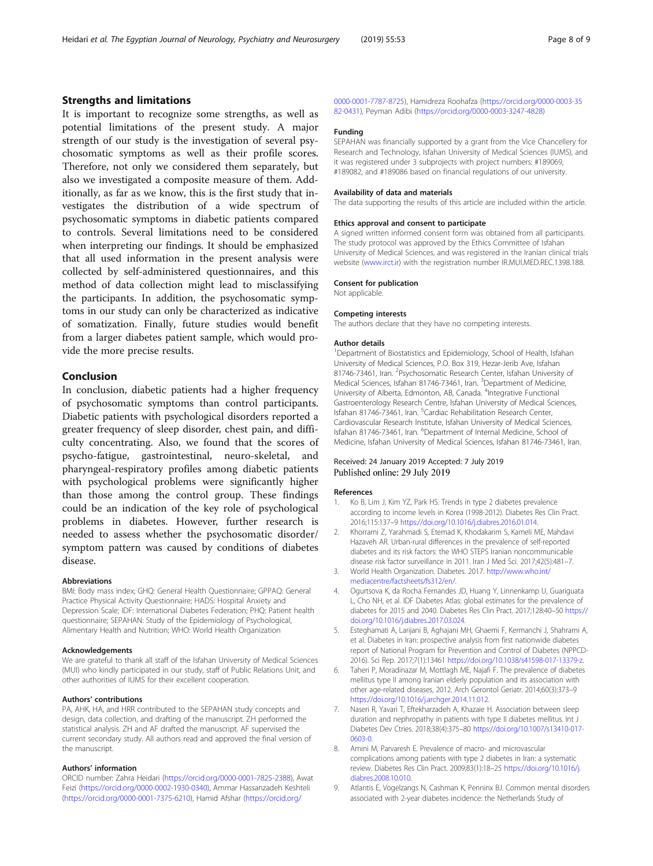### <span id="page-7-0"></span>Strengths and limitations

It is important to recognize some strengths, as well as potential limitations of the present study. A major strength of our study is the investigation of several psychosomatic symptoms as well as their profile scores. Therefore, not only we considered them separately, but also we investigated a composite measure of them. Additionally, as far as we know, this is the first study that investigates the distribution of a wide spectrum of psychosomatic symptoms in diabetic patients compared to controls. Several limitations need to be considered when interpreting our findings. It should be emphasized that all used information in the present analysis were collected by self-administered questionnaires, and this method of data collection might lead to misclassifying the participants. In addition, the psychosomatic symptoms in our study can only be characterized as indicative of somatization. Finally, future studies would benefit from a larger diabetes patient sample, which would provide the more precise results.

# Conclusion

In conclusion, diabetic patients had a higher frequency of psychosomatic symptoms than control participants. Diabetic patients with psychological disorders reported a greater frequency of sleep disorder, chest pain, and difficulty concentrating. Also, we found that the scores of psycho-fatigue, gastrointestinal, neuro-skeletal, and pharyngeal-respiratory profiles among diabetic patients with psychological problems were significantly higher than those among the control group. These findings could be an indication of the key role of psychological problems in diabetes. However, further research is needed to assess whether the psychosomatic disorder/ symptom pattern was caused by conditions of diabetes disease.

#### Abbreviations

BMI: Body mass index; GHQ: General Health Questionnaire; GPPAQ: General Practice Physical Activity Questionnaire; HADS: Hospital Anxiety and Depression Scale; IDF: International Diabetes Federation; PHQ: Patient health questionnaire; SEPAHAN: Study of the Epidemiology of Psychological, Alimentary Health and Nutrition; WHO: World Health Organization

#### Acknowledgements

We are grateful to thank all staff of the Isfahan University of Medical Sciences (MUI) who kindly participated in our study, staff of Public Relations Unit, and other authorities of IUMS for their excellent cooperation.

#### Authors' contributions

PA, AHK, HA, and HRR contributed to the SEPAHAN study concepts and design, data collection, and drafting of the manuscript. ZH performed the statistical analysis. ZH and AF drafted the manuscript. AF supervised the current secondary study. All authors read and approved the final version of the manuscript.

#### Authors' information

ORCID number: Zahra Heidari [\(https://orcid.org/0000-0001-7825-2388](https://orcid.org/0000-0001-7825-2388)), Awat Feizi [\(https://orcid.org/0000-0002-1930-0340](https://orcid.org/0000-0002-1930-0340)), Ammar Hassanzadeh Keshteli ([https://orcid.org/0000-0001-7375-6210\)](https://orcid.org/0000-0001-7375-6210), Hamid Afshar ([https://orcid.org/](https://orcid.org/0000-0001-7787-8725)

[0000-0001-7787-8725\)](https://orcid.org/0000-0001-7787-8725), Hamidreza Roohafza [\(https://orcid.org/0000-0003-35](https://orcid.org/0000-0003-3582-0431) [82-0431](https://orcid.org/0000-0003-3582-0431)), Peyman Adibi [\(https://orcid.org/0000-0003-3247-4828](https://orcid.org/0000-0003-3247-4828))

### Funding

SEPAHAN was financially supported by a grant from the Vice Chancellery for Research and Technology, Isfahan University of Medical Sciences (IUMS), and it was registered under 3 subprojects with project numbers: #189069, #189082, and #189086 based on financial regulations of our university.

#### Availability of data and materials

The data supporting the results of this article are included within the article.

#### Ethics approval and consent to participate

A signed written informed consent form was obtained from all participants. The study protocol was approved by the Ethics Committee of Isfahan University of Medical Sciences, and was registered in the Iranian clinical trials website [\(www.irct.ir\)](https://www.irct.ir) with the registration number IR.MUI.MED.REC.1398.188.

#### Consent for publication

Not applicable.

#### Competing interests

The authors declare that they have no competing interests.

#### Author details

<sup>1</sup>Department of Biostatistics and Epidemiology, School of Health, Isfahan University of Medical Sciences, P.O. Box 319, Hezar-Jerib Ave, Isfahan 81746-73461, Iran. <sup>2</sup> Psychosomatic Research Center, Isfahan University of Medical Sciences, Isfahan 81746-73461, Iran. <sup>3</sup>Department of Medicine University of Alberta, Edmonton, AB, Canada. <sup>4</sup>Integrative Functional Gastroenterology Research Centre, Isfahan University of Medical Sciences, Isfahan 81746-73461, Iran. <sup>5</sup>Cardiac Rehabilitation Research Center, Cardiovascular Research Institute, Isfahan University of Medical Sciences, Isfahan 81746-73461, Iran. <sup>6</sup>Department of Internal Medicine, School of Medicine, Isfahan University of Medical Sciences, Isfahan 81746-73461, Iran.

#### Received: 24 January 2019 Accepted: 7 July 2019 Published online: 29 July 2019

#### References

- 1. Ko B, Lim J, Kim YZ, Park HS. Trends in type 2 diabetes prevalence according to income levels in Korea (1998-2012). Diabetes Res Clin Pract. 2016;115:137–9 [https://doi.org/10.1016/j.diabres.2016.01.014.](https://doi.org/10.1016/j.diabres.2016.01.014)
- 2. Khorrami Z, Yarahmadi S, Etemad K, Khodakarim S, Kameli ME, Mahdavi Hazaveh AR. Urban-rural differences in the prevalence of self-reported diabetes and its risk factors: the WHO STEPS Iranian noncommunicable disease risk factor surveillance in 2011. Iran J Med Sci. 2017;42(5):481–7.
- 3. World Health Organization. Diabetes. 2017. [http://www.who.int/](http://www.who.int/mediacentre/factsheets/fs312/en/) [mediacentre/factsheets/fs312/en/](http://www.who.int/mediacentre/factsheets/fs312/en/).
- 4. Ogurtsova K, da Rocha Fernandes JD, Huang Y, Linnenkamp U, Guariguata L, Cho NH, et al. IDF Diabetes Atlas: global estimates for the prevalence of diabetes for 2015 and 2040. Diabetes Res Clin Pract. 2017;128:40–50 [https://](https://doi.org/10.1016/j.diabres.2017.03.024) [doi.org/10.1016/j.diabres.2017.03.024.](https://doi.org/10.1016/j.diabres.2017.03.024)
- 5. Esteghamati A, Larijani B, Aghajani MH, Ghaemi F, Kermanchi J, Shahrami A, et al. Diabetes in Iran: prospective analysis from first nationwide diabetes report of National Program for Prevention and Control of Diabetes (NPPCD-2016). Sci Rep. 2017;7(1):13461 [https://doi.org/10.1038/s41598-017-13379-z.](https://doi.org/10.1038/s41598-017-13379-z)
- 6. Taheri P, Moradinazar M, Mottlagh ME, Najafi F. The prevalence of diabetes mellitus type II among Iranian elderly population and its association with other age-related diseases, 2012. Arch Gerontol Geriatr. 2014;60(3):373–9 <https://doi.org/10.1016/j.archger.2014.11.012>.
- 7. Naseri R, Yavari T, Eftekharzadeh A, Khazaie H. Association between sleep duration and nephropathy in patients with type II diabetes mellitus. Int J Diabetes Dev Ctries. 2018;38(4):375–80 [https://doi.org/10.1007/s13410-017-](https://doi.org/10.1007/s13410-017-0603-0) [0603-0.](https://doi.org/10.1007/s13410-017-0603-0)
- 8. Amini M, Parvaresh E. Prevalence of macro- and microvascular complications among patients with type 2 diabetes in Iran: a systematic review. Diabetes Res Clin Pract. 2009;83(1):18–25 [https://doi.org/10.1016/j.](https://doi.org/10.1016/j.diabres.2008.10.010) [diabres.2008.10.010](https://doi.org/10.1016/j.diabres.2008.10.010).
- 9. Atlantis E, Vogelzangs N, Cashman K, Penninx BJ. Common mental disorders associated with 2-year diabetes incidence: the Netherlands Study of